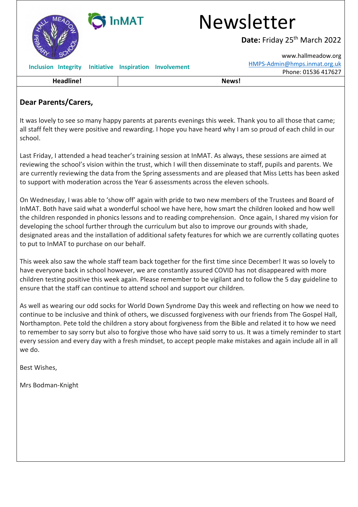

## **Dear Parents/Carers,**

It was lovely to see so many happy parents at parents evenings this week. Thank you to all those that came; all staff felt they were positive and rewarding. I hope you have heard why I am so proud of each child in our school.

Last Friday, I attended a head teacher's training session at InMAT. As always, these sessions are aimed at reviewing the school's vision within the trust, which I will then disseminate to staff, pupils and parents. We are currently reviewing the data from the Spring assessments and are pleased that Miss Letts has been asked to support with moderation across the Year 6 assessments across the eleven schools.

On Wednesday, I was able to 'show off' again with pride to two new members of the Trustees and Board of InMAT. Both have said what a wonderful school we have here, how smart the children looked and how well the children responded in phonics lessons and to reading comprehension. Once again, I shared my vision for developing the school further through the curriculum but also to improve our grounds with shade, designated areas and the installation of additional safety features for which we are currently collating quotes to put to InMAT to purchase on our behalf.

This week also saw the whole staff team back together for the first time since December! It was so lovely to have everyone back in school however, we are constantly assured COVID has not disappeared with more children testing positive this week again. Please remember to be vigilant and to follow the 5 day guideline to ensure that the staff can continue to attend school and support our children.

As well as wearing our odd socks for World Down Syndrome Day this week and reflecting on how we need to continue to be inclusive and think of others, we discussed forgiveness with our friends from The Gospel Hall, Northampton. Pete told the children a story about forgiveness from the Bible and related it to how we need to remember to say sorry but also to forgive those who have said sorry to us. It was a timely reminder to start every session and every day with a fresh mindset, to accept people make mistakes and again include all in all we do.

Best Wishes,

Mrs Bodman-Knight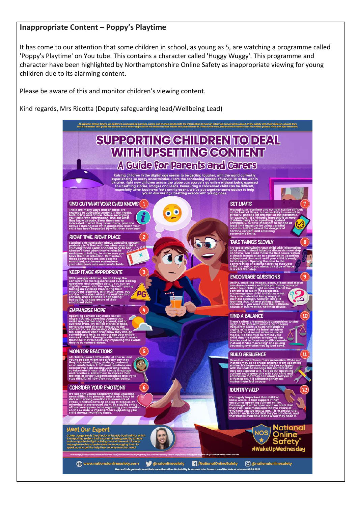#### **Inappropriate Content – Poppy's Playtime**

It has come to our attention that some children in school, as young as 5, are watching a programme called 'Poppy's Playtime' on You tube. This contains a character called 'Huggy Wuggy'. This programme and character have been highlighted by Northamptonshire Online Safety as inappropriate viewing for young children due to its alarming content.

Please be aware of this and monitor children's viewing content.

Kind regards, Mrs Ricotta (Deputy safeguarding lead/Wellbeing Lead)

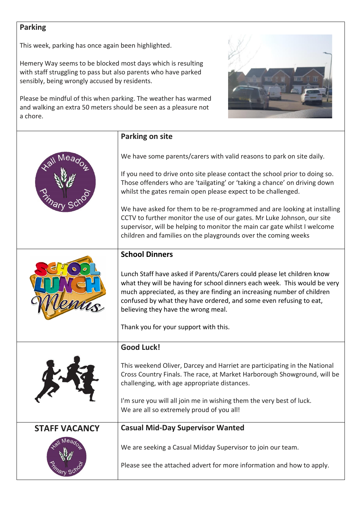# **Parking**

This week, parking has once again been highlighted.

Hemery Way seems to be blocked most days which is resulting with staff struggling to pass but also parents who have parked sensibly, being wrongly accused by residents.

Please be mindful of this when parking. The weather has warmed and walking an extra 50 meters should be seen as a pleasure not a chore.



| <b>Parking on site</b>                                                                                                                                                                                                                                                                                                                                                                                                                                                                                                                                                                                  |
|---------------------------------------------------------------------------------------------------------------------------------------------------------------------------------------------------------------------------------------------------------------------------------------------------------------------------------------------------------------------------------------------------------------------------------------------------------------------------------------------------------------------------------------------------------------------------------------------------------|
| We have some parents/carers with valid reasons to park on site daily.<br>If you need to drive onto site please contact the school prior to doing so.<br>Those offenders who are 'tailgating' or 'taking a chance' on driving down<br>whilst the gates remain open please expect to be challenged.<br>We have asked for them to be re-programmed and are looking at installing<br>CCTV to further monitor the use of our gates. Mr Luke Johnson, our site<br>supervisor, will be helping to monitor the main car gate whilst I welcome<br>children and families on the playgrounds over the coming weeks |
| <b>School Dinners</b>                                                                                                                                                                                                                                                                                                                                                                                                                                                                                                                                                                                   |
| Lunch Staff have asked if Parents/Carers could please let children know<br>what they will be having for school dinners each week. This would be very<br>much appreciated, as they are finding an increasing number of children<br>confused by what they have ordered, and some even refusing to eat,<br>believing they have the wrong meal.<br>Thank you for your support with this.                                                                                                                                                                                                                    |
| <b>Good Luck!</b>                                                                                                                                                                                                                                                                                                                                                                                                                                                                                                                                                                                       |
| This weekend Oliver, Darcey and Harriet are participating in the National<br>Cross Country Finals. The race, at Market Harborough Showground, will be<br>challenging, with age appropriate distances.<br>I'm sure you will all join me in wishing them the very best of luck.<br>We are all so extremely proud of you all!                                                                                                                                                                                                                                                                              |
| <b>Casual Mid-Day Supervisor Wanted</b>                                                                                                                                                                                                                                                                                                                                                                                                                                                                                                                                                                 |
| We are seeking a Casual Midday Supervisor to join our team.                                                                                                                                                                                                                                                                                                                                                                                                                                                                                                                                             |
|                                                                                                                                                                                                                                                                                                                                                                                                                                                                                                                                                                                                         |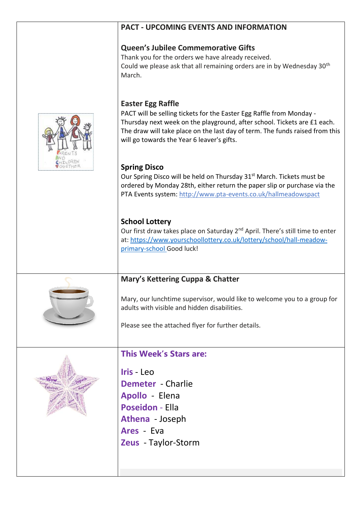## **PACT - UPCOMING EVENTS AND INFORMATION**

## **Queen's Jubilee Commemorative Gifts**

Thank you for the orders we have already received. Could we please ask that all remaining orders are in by Wednesday 30<sup>th</sup> March.

## **Easter Egg Raffle**

PACT will be selling tickets for the Easter Egg Raffle from Monday - Thursday next week on the playground, after school. Tickets are £1 each. The draw will take place on the last day of term. The funds raised from this will go towards the Year 6 leaver's gifts.

## **Spring Disco**

Our Spring Disco will be held on Thursday 31<sup>st</sup> March. Tickets must be ordered by Monday 28th, either return the paper slip or purchase via the PTA Events system: <http://www.pta-events.co.uk/hallmeadowspact>

# **School Lottery**

Our first draw takes place on Saturday 2<sup>nd</sup> April. There's still time to enter at: [https://www.yourschoollottery.co.uk/lottery/school/hall-meadow](https://www.yourschoollottery.co.uk/lottery/school/hall-meadow-primary-school)[primary-school](https://www.yourschoollottery.co.uk/lottery/school/hall-meadow-primary-school) Good luck!

# **Mary's Kettering Cuppa & Chatter**

Mary, our lunchtime supervisor, would like to welcome you to a group for adults with visible and hidden disabilities.

Please see the attached flyer for further details.

# **This Week's Stars are:**

**Iris** - Leo **Demeter** - Charlie **Apollo** - Elena **Poseidon** - Ella **Athena** - Joseph **Ares** - Eva **Zeus** - Taylor-Storm



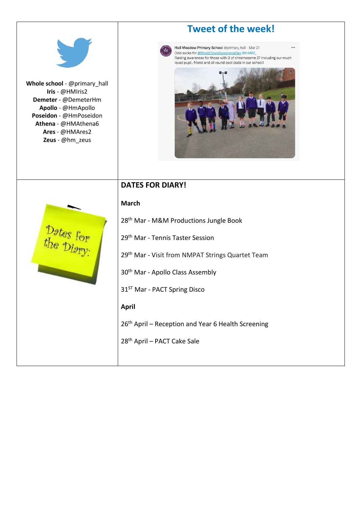|                                                                                                                                                                                      | <b>Tweet of the week!</b>                                                                                                                                                                                                               |
|--------------------------------------------------------------------------------------------------------------------------------------------------------------------------------------|-----------------------------------------------------------------------------------------------------------------------------------------------------------------------------------------------------------------------------------------|
| Whole school - @primary_hall<br>Iris - @HMIris2<br>Demeter - @DemeterHm<br>Apollo - @HmApollo<br>Poseidon - @HmPoseidon<br>Athena - @HMAthena6<br>Ares - @HMAres2<br>Zeus - @hm_zeus | Hall Meadow Primary School @primary_hall · Mar 21<br>Odd socks for #WorldDownSyndromeDay @InMAT<br>Raising awareness for those with 3 of chromosome 21 including our much<br>loved pupil, friend and all round cool dude in our school! |
|                                                                                                                                                                                      | <b>DATES FOR DIARY!</b>                                                                                                                                                                                                                 |
|                                                                                                                                                                                      | <b>March</b>                                                                                                                                                                                                                            |
|                                                                                                                                                                                      | 28 <sup>th</sup> Mar - M&M Productions Jungle Book                                                                                                                                                                                      |
| Dates for                                                                                                                                                                            | 29 <sup>th</sup> Mar - Tennis Taster Session                                                                                                                                                                                            |
|                                                                                                                                                                                      | 29th Mar - Visit from NMPAT Strings Quartet Team                                                                                                                                                                                        |
|                                                                                                                                                                                      | 30 <sup>th</sup> Mar - Apollo Class Assembly                                                                                                                                                                                            |
|                                                                                                                                                                                      | 31 <sup>ST</sup> Mar - PACT Spring Disco                                                                                                                                                                                                |
|                                                                                                                                                                                      | <b>April</b>                                                                                                                                                                                                                            |
|                                                                                                                                                                                      | 26 <sup>th</sup> April - Reception and Year 6 Health Screening                                                                                                                                                                          |
|                                                                                                                                                                                      | 28 <sup>th</sup> April - PACT Cake Sale                                                                                                                                                                                                 |
|                                                                                                                                                                                      |                                                                                                                                                                                                                                         |